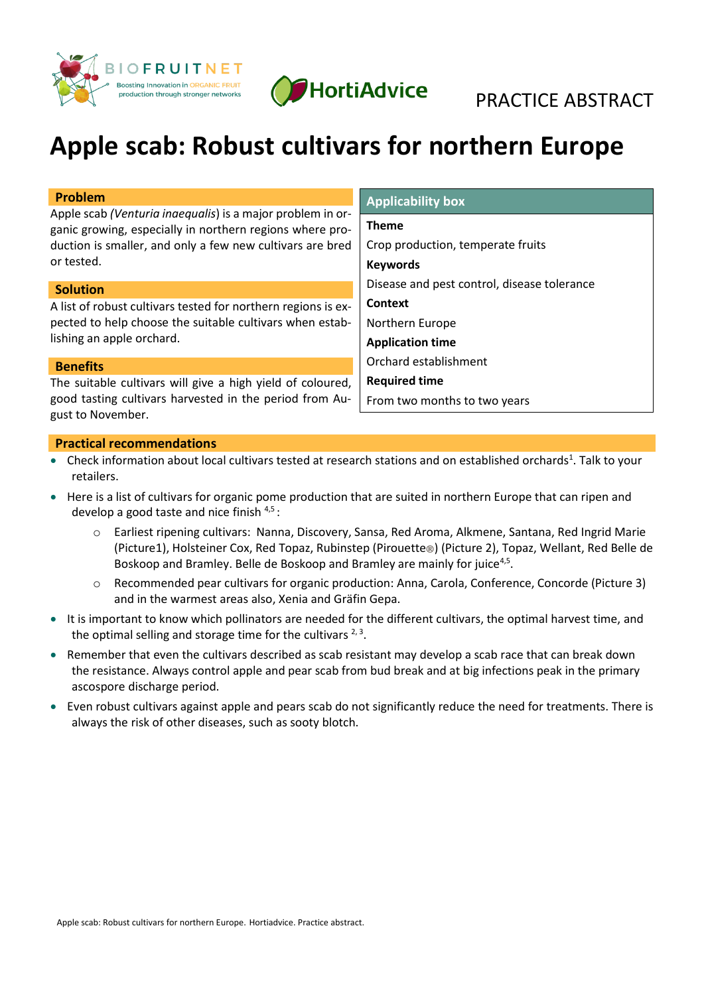



# **Apple scab: Robust cultivars for northern Europe**

| Problem                                                                                                                                                                             | <b>Applicability box</b>                    |
|-------------------------------------------------------------------------------------------------------------------------------------------------------------------------------------|---------------------------------------------|
| Apple scab (Venturia inaequalis) is a major problem in or-<br>ganic growing, especially in northern regions where pro-<br>duction is smaller, and only a few new cultivars are bred | <b>Theme</b>                                |
|                                                                                                                                                                                     | Crop production, temperate fruits           |
| or tested.                                                                                                                                                                          | <b>Keywords</b>                             |
| <b>Solution</b>                                                                                                                                                                     | Disease and pest control, disease tolerance |
| A list of robust cultivars tested for northern regions is ex-<br>pected to help choose the suitable cultivars when estab-<br>lishing an apple orchard.                              | Context                                     |
|                                                                                                                                                                                     | Northern Europe                             |
|                                                                                                                                                                                     | <b>Application time</b>                     |
| <b>Benefits</b>                                                                                                                                                                     | Orchard establishment                       |
| The suitable cultivars will give a high yield of coloured,<br>good tasting cultivars harvested in the period from Au-                                                               | <b>Required time</b>                        |
|                                                                                                                                                                                     | From two months to two years                |
| gust to November.                                                                                                                                                                   |                                             |

#### **Practical recommendations**

- Check information about local cultivars tested at research stations and on established orchards<sup>1</sup>. Talk to your retailers.
- Here is a list of cultivars for organic pome production that are suited in northern Europe that can ripen and develop a good taste and nice finish [4,](#page-1-0)[5](#page-1-1) :
	- o Earliest ripening cultivars: Nanna, Discovery, Sansa, Red Aroma, Alkmene, Santana, Red Ingrid Marie (Picture1), Holsteiner Cox, Red Topaz, Rubinstep (Pirouette®) (Picture 2), Topaz, Wellant, Red Belle de Boskoop and Bramley. Belle de Boskoop and Bramley are mainly for juice<sup>[4](#page-1-0)[,5](#page-1-1)</sup>.
	- o Recommended pear cultivars for organic production: Anna, Carola, Conference, Concorde (Picture 3) and in the warmest areas also, Xenia and Gräfin Gepa.
- It is important to know which pollinators are needed for the different cultivars, the optimal harvest time, and the optimal selling and storage time for the cultivars  $2,3$  $2,3$ [.](#page-1-3)
- Remember that even the cultivars described as scab resistant may develop a scab race that can break down the resistance. Always control apple and pear scab from bud break and at big infections peak in the primary ascospore discharge period.
- Even robust cultivars against apple and pears scab do not significantly reduce the need for treatments. There is always the risk of other diseases, such as sooty blotch.